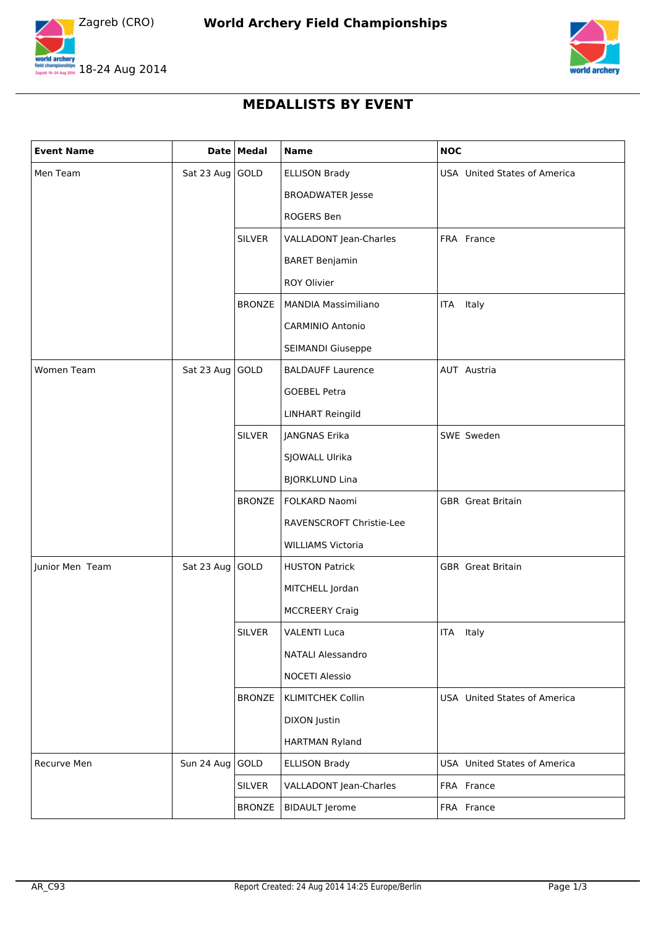



## **MEDALLISTS BY EVENT**

| <b>Event Name</b> |                 | Date Medal    | <b>Name</b>                | <b>NOC</b>                   |
|-------------------|-----------------|---------------|----------------------------|------------------------------|
| Men Team          | Sat 23 Aug GOLD |               | <b>ELLISON Brady</b>       | USA United States of America |
|                   |                 |               | <b>BROADWATER Jesse</b>    |                              |
|                   |                 |               | ROGERS Ben                 |                              |
|                   |                 | <b>SILVER</b> | VALLADONT Jean-Charles     | FRA France                   |
|                   |                 |               | <b>BARET Benjamin</b>      |                              |
|                   |                 |               | ROY Olivier                |                              |
|                   |                 | <b>BRONZE</b> | <b>MANDIA Massimiliano</b> | <b>ITA</b><br>Italy          |
|                   |                 |               | <b>CARMINIO Antonio</b>    |                              |
|                   |                 |               | SEIMANDI Giuseppe          |                              |
| Women Team        | Sat 23 Aug GOLD |               | <b>BALDAUFF Laurence</b>   | AUT Austria                  |
|                   |                 |               | <b>GOEBEL Petra</b>        |                              |
|                   |                 |               | LINHART Reingild           |                              |
|                   |                 | <b>SILVER</b> | JANGNAS Erika              | SWE Sweden                   |
|                   |                 |               | SJOWALL Ulrika             |                              |
|                   |                 |               | <b>BJORKLUND Lina</b>      |                              |
|                   |                 | <b>BRONZE</b> | FOLKARD Naomi              | <b>GBR</b> Great Britain     |
|                   |                 |               | RAVENSCROFT Christie-Lee   |                              |
|                   |                 |               | <b>WILLIAMS Victoria</b>   |                              |
| Junior Men Team   | Sat 23 Aug GOLD |               | <b>HUSTON Patrick</b>      | <b>GBR</b> Great Britain     |
|                   |                 |               | MITCHELL Jordan            |                              |
|                   |                 |               | <b>MCCREERY Craig</b>      |                              |
|                   |                 | <b>SILVER</b> | <b>VALENTI Luca</b>        | ITA Italy                    |
|                   |                 |               | <b>NATALI Alessandro</b>   |                              |
|                   |                 |               | <b>NOCETI Alessio</b>      |                              |
|                   |                 | <b>BRONZE</b> | <b>KLIMITCHEK Collin</b>   | USA United States of America |
|                   |                 |               | <b>DIXON Justin</b>        |                              |
|                   |                 |               | <b>HARTMAN Ryland</b>      |                              |
| Recurve Men       | Sun 24 Aug GOLD |               | <b>ELLISON Brady</b>       | USA United States of America |
|                   |                 | <b>SILVER</b> | VALLADONT Jean-Charles     | FRA France                   |
|                   |                 | <b>BRONZE</b> | <b>BIDAULT Jerome</b>      | FRA France                   |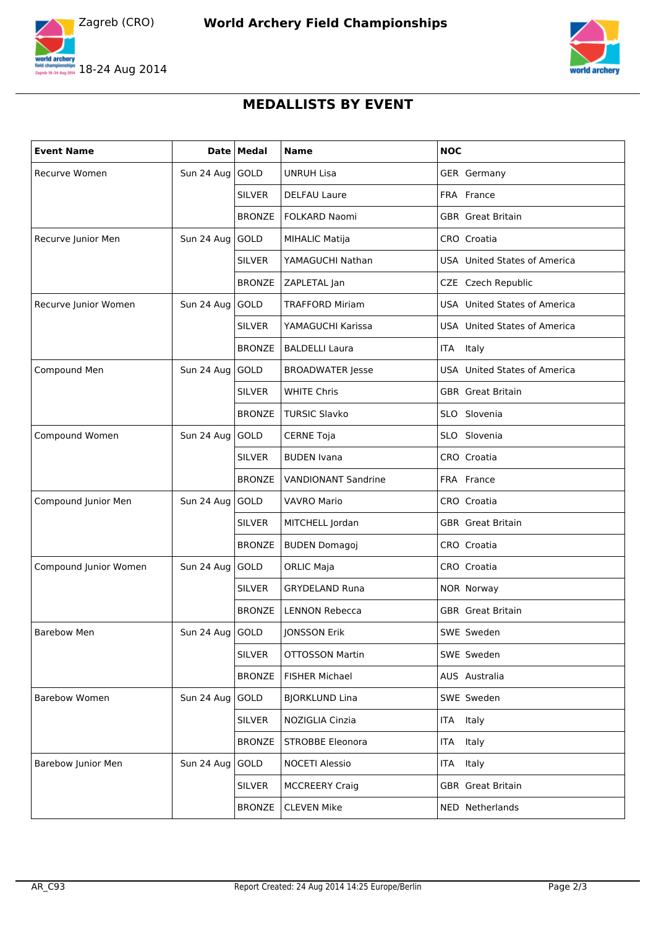



## **MEDALLISTS BY EVENT**

| <b>Event Name</b>         |                 | Date   Medal  | <b>Name</b>                | <b>NOC</b>                   |
|---------------------------|-----------------|---------------|----------------------------|------------------------------|
| Recurve Women             | Sun 24 Aug GOLD |               | <b>UNRUH Lisa</b>          | <b>GER</b> Germany           |
|                           |                 | <b>SILVER</b> | <b>DELFAU Laure</b>        | FRA France                   |
|                           |                 | <b>BRONZE</b> | <b>FOLKARD Naomi</b>       | <b>GBR</b> Great Britain     |
| Recurve Junior Men        | Sun 24 Aug GOLD |               | <b>MIHALIC Matija</b>      | CRO Croatia                  |
|                           |                 | <b>SILVER</b> | YAMAGUCHI Nathan           | USA United States of America |
|                           |                 | <b>BRONZE</b> | ZAPLETAL Jan               | CZE Czech Republic           |
| Recurve Junior Women      | Sun 24 Aug GOLD |               | <b>TRAFFORD Miriam</b>     | USA United States of America |
|                           |                 | <b>SILVER</b> | YAMAGUCHI Karissa          | USA United States of America |
|                           |                 | <b>BRONZE</b> | <b>BALDELLI Laura</b>      | ITA Italy                    |
| Compound Men              | Sun 24 Aug GOLD |               | <b>BROADWATER Jesse</b>    | USA United States of America |
|                           |                 | <b>SILVER</b> | <b>WHITE Chris</b>         | <b>GBR</b> Great Britain     |
|                           |                 | <b>BRONZE</b> | <b>TURSIC Slavko</b>       | SLO Slovenia                 |
| Compound Women            | Sun 24 Aug GOLD |               | <b>CERNE Toja</b>          | SLO Slovenia                 |
|                           |                 | <b>SILVER</b> | <b>BUDEN Ivana</b>         | CRO Croatia                  |
|                           |                 | <b>BRONZE</b> | <b>VANDIONANT Sandrine</b> | FRA France                   |
| Compound Junior Men       | Sun 24 Aug GOLD |               | <b>VAVRO Mario</b>         | CRO Croatia                  |
|                           |                 | <b>SILVER</b> | MITCHELL Jordan            | <b>GBR</b> Great Britain     |
|                           |                 | <b>BRONZE</b> | <b>BUDEN Domagoj</b>       | CRO Croatia                  |
| Compound Junior Women     | Sun 24 Aug GOLD |               | <b>ORLIC Maja</b>          | CRO Croatia                  |
|                           |                 | <b>SILVER</b> | <b>GRYDELAND Runa</b>      | NOR Norway                   |
|                           |                 | <b>BRONZE</b> | <b>LENNON Rebecca</b>      | <b>GBR</b> Great Britain     |
| <b>Barebow Men</b>        | Sun 24 Aug GOLD |               | JONSSON Erik               | SWE Sweden                   |
|                           |                 | <b>SILVER</b> | <b>OTTOSSON Martin</b>     | SWE Sweden                   |
|                           |                 | <b>BRONZE</b> | FISHER Michael             | AUS Australia                |
| <b>Barebow Women</b>      | Sun 24 Aug GOLD |               | <b>BJORKLUND Lina</b>      | SWE Sweden                   |
|                           |                 | <b>SILVER</b> | NOZIGLIA Cinzia            | ITA Italy                    |
|                           |                 | <b>BRONZE</b> | <b>STROBBE Eleonora</b>    | ITA Italy                    |
| <b>Barebow Junior Men</b> | Sun 24 Aug GOLD |               | <b>NOCETI Alessio</b>      | ITA Italy                    |
|                           |                 | <b>SILVER</b> | <b>MCCREERY Craig</b>      | GBR Great Britain            |
|                           |                 | <b>BRONZE</b> | <b>CLEVEN Mike</b>         | NED Netherlands              |